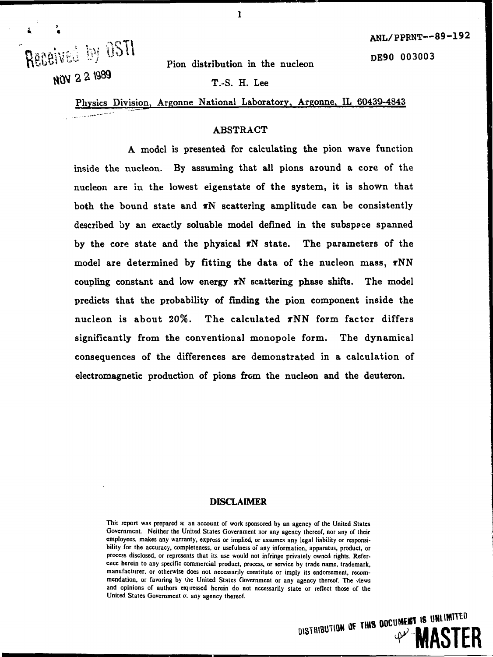DE90 003003

Received by OSTI **NOV 2 2 1989** 

Pion distribution in the nucleon

T.-S. H. Lee

Physics Division, Argonne National Laboratory, Argonne, IL 60439-4843

## **ABSTRACT**

A model is presented for calculating the pion wave function inside the nucleon. By assuming that all pions around a core of the nucleon are in the lowest eigenstate of the system, it is shown that both the bound state and  $\pi N$  scattering amplitude can be consistently described by an exactly soluable model defined in the subspace spanned by the core state and the physical  $\pi N$  state. The parameters of the model are determined by fitting the data of the nucleon mass,  $\pi NN$ coupling constant and low energy  $\pi N$  scattering phase shifts. The model predicts that the probability of finding the pion component inside the nucleon is about 20%. The calculated xNN form factor differs significantly from the conventional monopole form. The dynamical consequences of the differences are demonstrated in a calculation of electromagnetic production of pions from the nucleon and the deuteron.

#### DISCLAIMER

**This report was prepared ai an account of work sponsored by an agency of the United States Government. Neither the United States Government nor any agency thereof, nor any of their employees, makes any warranty, express or implied, or assumes any legal liability or responsibility for the accuracy, completeness, or usefulness of any information, apparatus, product, or process disclosed, or represents that its use would not infringe privately owned rights. Reference herein to any specific commercial product, process, or service by trade name, trademark, manufacturer, or otherwise does not necessarily constitute or imply its endorsement, recommendation, or favoring by ihe United States Government or any agency thereof. The views and opinions of authors expressed herein do not necessarily state or reflect those of the United States Government** *o:* **any agency thereof.**



 $\mathbf{1}$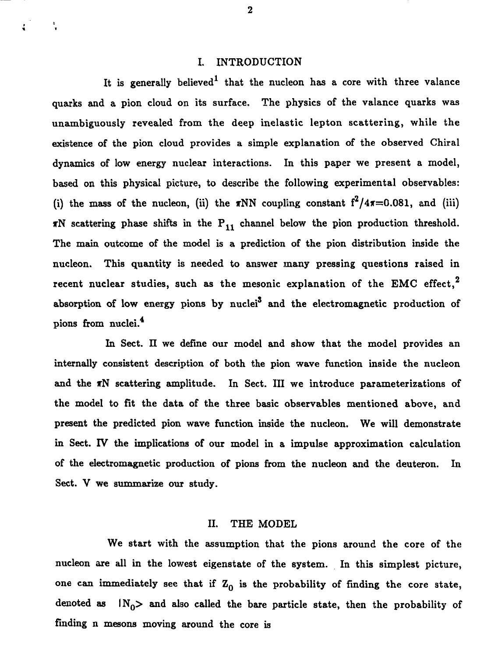## I. INTRODUCTION

It is generally believed<sup>1</sup> that the nucleon has a core with three valance quarks and a pion cloud on its surface. The physics of the valance quarks was unambiguously revealed from the deep inelastic lepton scattering, while the existence of the pion cloud provides a simple explanation of the observed Chiral dynamics of low energy nuclear interactions. In this paper we present a model, based on this physical picture, to describe the following experimental observables: (i) the mass of the nucleon, (ii) the  $\pi NN$  coupling constant  $f^2/4\pi=0.081$ , and (iii)  $\pi N$  scattering phase shifts in the  $P_{11}$  channel below the pion production threshold. The main outcome of the model is a prediction of the pion distribution inside the nucleon. This quantity is needed to answer many pressing questions raised in recent nuclear studies, such as the mesonic explanation of the EMC effect,<sup>2</sup> absorption of low energy pions by nuclei<sup>3</sup> and the electromagnetic production of pions from nuclei.<sup>4</sup>

In Sect. II we define our model and show that the model provides an internally consistent description of both the pion wave function inside the nucleon and the TN scattering amplitude. In Sect. Ill we introduce parameterizations of the model to fit the data of the three basic observables mentioned above, and present the predicted pion wave function inside the nucleon. We will demonstrate in Sect. IV the implications of our model in a impulse approximation calculation of the electromagnetic production of pions from the nucleon and the deuteron. In Sect. V we summarize our study.

#### II. THE MODEL

We start with the assumption that the pions around the core of the nucleon are all in the lowest eigenstate of the system. In this simplest picture, one can immediately see that if  $Z_0$  is the probability of finding the core state, denoted as  $|N_0\rangle$  and also called the bare particle state, then the probability of finding n mesons moving around the core is

 $\overline{2}$ 

÷.

 $\ddot{\cdot}$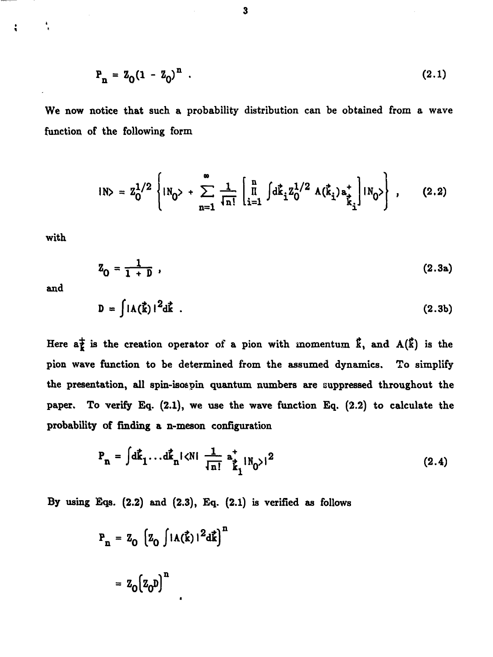$$
P_n = Z_0 (1 - Z_0)^n . \t\t(2.1)
$$

**We now notice that such a probability distribution can be obtained from a wave function of the following form**

$$
IN> = Z_0^{1/2} \left\{ IN_0 > + \sum_{n=1}^{\infty} \frac{1}{\sqrt{n!}} \left[ \prod_{i=1}^n \int d\vec{k}_i Z_0^{1/2} A(\vec{k}_i) a_{\vec{k}_i}^+ \right] IN_0 > \right\} , \qquad (2.2)
$$

**with**

$$
Z_0 = \frac{1}{1 + D} \tag{2.3a}
$$

**and**

$$
D = \int |A(\vec{k})|^2 d\vec{k} \tag{2.3b}
$$

Here  $a^{\pm}_{\mathbf{k}}$  is the creation operator of a pion with momentum  $\hat{\mathbf{k}}$ , and  $\mathbf{A}(\hat{\mathbf{k}})$  is the **pion wave function to be determined from the assumed dynamics. To simplify the presentation, all spin-isos pin quantum numbers are suppressed throughout the paper. To verify Eq. (2.1), we use the wave function Eq. (2.2) to calculate the probability of finding a n-meson configuration**

$$
P_n = \int d\vec{k}_1 \dots d\vec{k}_n |\langle N| \frac{1}{\ln!} a_{\vec{k}_1}^* |N_0\rangle|^2
$$
 (2.4)

**By using Eqs. (2.2) and (2.3), Eq. (2.1) is verified as follows**

$$
P_n = Z_0 \left[ Z_0 \int |\Lambda(\vec{k})|^2 d\vec{k} \right]^n
$$

$$
= Z_0 \left[ Z_0 D \right]^n
$$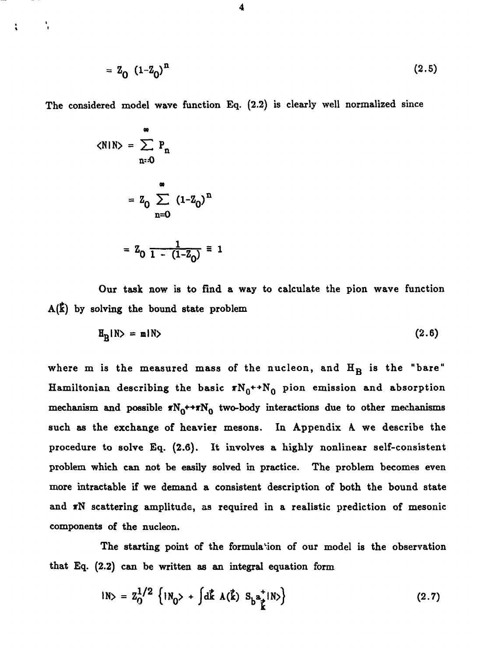$$
= Z_0 (1 - Z_0)^n \tag{2.5}
$$

The considered model wave function Eq. (2,2) is clearly well normalized since

$$
\langle N|N \rangle = \sum_{n=0}^{\infty} P_n
$$
  
=  $Z_0 \sum_{n=0}^{\infty} (1 - Z_0)^n$   
=  $Z_0 \frac{1}{1 - (1 - Z_0)} \equiv 1$ 

۰,

÷

Our task now is to find a way to calculate the pion wave function  $A(\vec{k})$  by solving the bound state problem

$$
\mathbf{H}_{\mathbf{R}}|\mathbf{N}\rangle = \mathbf{m}|\mathbf{N}\rangle \tag{2.6}
$$

where  $m$  is the measured mass of the nucleon, and  $H_B$  is the "bare" Hamiltonian describing the basic  $\pi N_0^{\star} N_0$  pion emission and absorption mechanism and possible  $T_{0}$ \*\* $T_{0}$  two-body interactions due to other mechanisms such as the exchange of heavier mesons. In Appendix A we describe the procedure to solve Eq. (2.6). It involves a highly nonlinear self-consistent problem which can not be easily solved in practice. The problem becomes even more intractable if we demand a consistent description of both the bound state and  $\pi N$  scattering amplitude, as required in a realistic prediction of mesonic components of the nucleon.

The starting point of the formulation of our model is the observation that Eq. (2.2) can be written as an integral equation form

$$
IN> = Z_0^{1/2} \{iN_0 > + \int d\vec{k} \Lambda(\vec{k}) S_b^{\frac{1}{2}} iN \} \qquad (2.7)
$$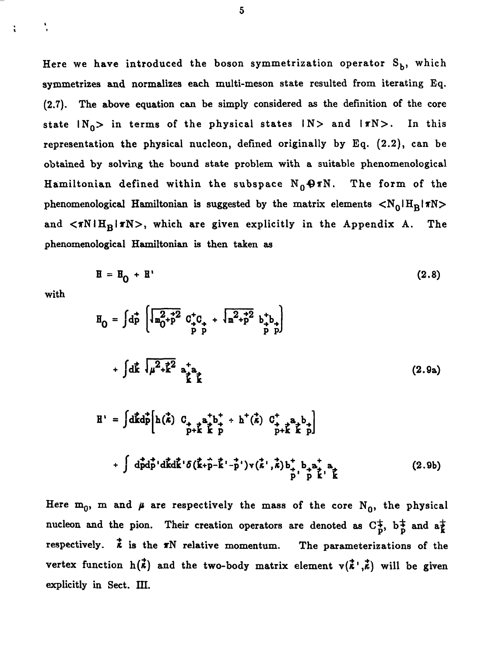Here we have introduced the boson symmetrization operator  $S_b$ , which symmetrizes and normalizes each multi-meson state resulted from iterating Eq. (2.7). The above equation can be simply considered as the definition of the core state  $|N_0\rangle$  in terms of the physical states  $|N\rangle$  and  $|\pi N\rangle$ . In this representation the physical nucleon, defined originally by Eq. (2.2), can be obtained by solving the bound state problem with a suitable phenomenological Hamiltonian defined within the subspace  $N_0 \Theta \pi N$ . The form of the phenomenological Hamiltonian is suggested by the matrix elements  $\langle N_0|H_R|\pi N\rangle$ and  $\langle \pi N | H_B | \pi N \rangle$ , which are given explicitly in the Appendix A. The phenomenological Hamiltonian is then taken as

$$
\mathbf{H} = \mathbf{H}_0 + \mathbf{H}' \tag{2.8}
$$

with

 $\ddot{\phantom{0}}$ 

t

$$
H_0 = \int d\vec{p} \left[ \overline{u_0^2 + p^2} \ C_{\vec{p}}^+ C_{\vec{p}} + \overline{u_0^2 + p^2} b_{\vec{p}}^+ b_{\vec{p}} \right]
$$
  
+ 
$$
\int d\vec{k} \ \overline{u_0^2 + \vec{k}^2} a_{\vec{k}}^+ a_{\vec{k}} \overline{u}
$$
  

$$
H' = \int d\vec{k} d\vec{p} \left[ h(\vec{k}) \ C_{\vec{p}} + a_{\vec{k}}^+ b_{\vec{p}}^+ + h^+(\vec{k}) \ C_{\vec{p}}^+ + a_{\vec{k}}^+ b_{\vec{p}}^+ \right]
$$
  

$$
= \int d\vec{k} d\vec{p} \left[ h(\vec{k}) \ C_{\vec{p}} + a_{\vec{k}}^+ b_{\vec{p}}^+ + h^+(\vec{k}) \ C_{\vec{p}}^+ + a_{\vec{k}}^+ b_{\vec{p}}^+ \right]
$$
  
(2.9a)

 $\int d\vec{p}d\vec{p}'d\vec{k}d\vec{k}'\delta(\vec{k}+\vec{p}-\vec{k}'-\vec{p}')v(\vec{k}',\vec{k})b_{+}^{\dagger}b_{+}a_{+}^{\dagger}a_{+}$  (2.9b)

P P

Here  $m_0$ , m and  $\mu$  are respectively the mass of the core N<sub>0</sub>, the physical nucleon and the pion. Their creation operators are denoted as  $C^{\pm}_{p}$ ,  $b^{\pm}_{p}$  and  $a^{\pm}_{k}$ respectively.  $\vec{k}$  is the  $\pi N$  relative momentum. The parameterizations of the vertex function  $h(\vec{k})$  and the two-body matrix element  $v(\vec{k}^{\dagger},\vec{k})$  will be given explicitly in Sect. HI.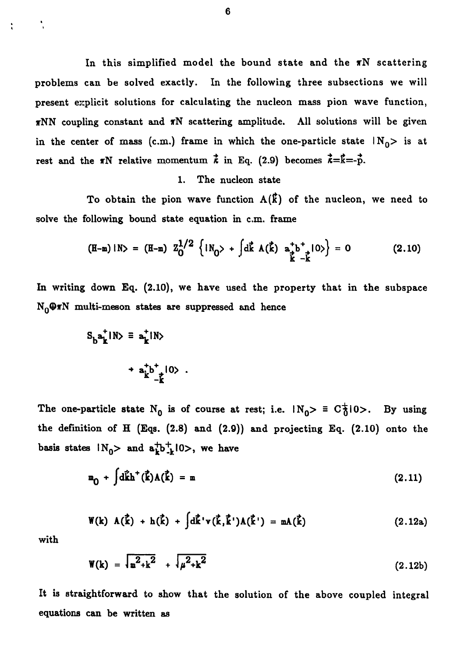In this simplified model the bound state and the  $\pi N$  scattering problems can be solved exactly. In the following three subsections we will present explicit solutions for calculating the nucleon mass pion wave function,  $\pi NN$  coupling constant and  $\pi N$  scattering amplitude. All solutions will be given in the center of mass (c.m.) frame in which the one-particle state  $IN_0$  is at rest and the  $\pi N$  relative momentum  $\vec{k}$  in Eq. (2.9) becomes  $\vec{k} = \vec{k} = -\vec{p}$ .

# 1. The nucleon state

To obtain the pion wave function  $A(\vec{k})$  of the nucleon, we need to solve the following bound state equation in c.m. frame

$$
(\mathbf{H}-\mathbf{m})\ |\mathbf{N}\rangle = (\mathbf{H}-\mathbf{m}) \ \mathbf{Z}_0^{1/2} \left\{ \mathbf{N}_0 \rangle + \int \mathrm{d}\mathbf{k} \ \mathbf{A}(\mathbf{k}) \ \mathbf{a}_\mathbf{k}^+ \mathbf{b}_\mathbf{k}^+ \ |\mathbf{0}\rangle \right\} = 0 \tag{2.10}
$$

In writing down Eq. (2.10), we have used the property that in the subspace  $N_0 \Theta \pi N$  multi-meson states are suppressed and hence

$$
S_b a_k^{\dagger} IN > \equiv a_k^{\dagger} IN >
$$
  
+ 
$$
a_k^{\dagger} b_{\dagger}^{\dagger} I0 >
$$

The one-particle state N<sub>0</sub> is of course at rest; i.e.  $|N_0\rangle = C_0^+(0)$ . By using the definition of H (Eqs. (2.8) **and** (2.9)) and projecting Eq. (2.10) onto the basis states  $N_0$  and  $a^+_{k}b^+_{-k}$ l0>, we have

$$
\mathbf{m}_{0} + \int d\mathbf{k} h^{+}(\mathbf{k}) \Lambda(\mathbf{k}) = \mathbf{m}
$$
 (2.11)

$$
\mathbf{W}(\mathbf{k}) \ \mathbf{A}(\mathbf{k}) + \mathbf{h}(\mathbf{k}) + \int d\mathbf{k}' \mathbf{v}(\mathbf{k}, \mathbf{k}') \mathbf{A}(\mathbf{k}') = \mathbf{m} \mathbf{A}(\mathbf{k}) \qquad (2.12a)
$$

with

 $\ddot{\cdot}$ 

$$
W(k) = \sqrt{m^2 + k^2} + \sqrt{\mu^2 + k^2}
$$
 (2.12b)

It is straightforward to show that the solution of the above coupled integral equations can be written as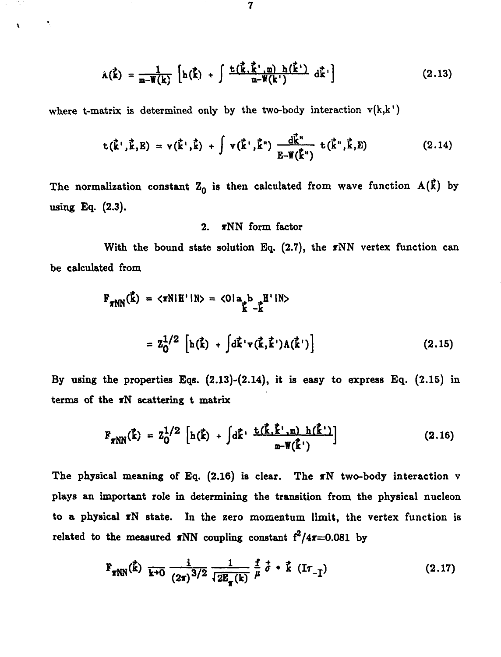$$
A(\vec{k}) = \frac{1}{m - W(k)} \left[ h(\vec{k}) + \int \frac{t(\vec{k} \cdot \vec{k}' \cdot m) h(\vec{k}')}{m - W(k')} d\vec{k}' \right]
$$
 (2.13)

where t-matrix is determined only by the two-body interaction  $v(k, k')$ 

Ŷ.

$$
t(\vec{k}', \vec{k}, E) = v(\vec{k}', \vec{k}) + \int v(\vec{k}', \vec{k}^{n}) \frac{d\vec{k}^{n}}{E - W(\vec{k}^{n})} t(\vec{k}', \vec{k}, E)
$$
 (2.14)

The normalization constant  $Z_0$  is then calculated from wave function  $A(\vec{k})$  by **using Eq. (2.3).**

## 2. **TNN** form factor

With the bound state solution Eq. (2.7), the  $\pi NN$  vertex function can **be calculated from**

$$
F_{\pi NN}(\vec{k}) = \langle \pi N | H' | N \rangle = \langle 0 | a_{\vec{k}} b_{\vec{k}} H' | N \rangle
$$
  
= 
$$
Z_0^{1/2} \left[ h(\vec{k}) + \int d\vec{k} \cdot v(\vec{k}, \vec{k}') \Lambda(\vec{k}') \right]
$$
 (2.15)

**By using the properties Eqs. (2.13)-(2.14), it is easy to express Eq. (2.15) in terms of the rN scattering t matrix**

$$
F_{\pi NN}(\vec{k}) = Z_0^{1/2} \left[ h(\vec{k}) + \int d\vec{k} \cdot \frac{t(\vec{k}, \vec{k}', m) h(\vec{k}')}{m - W(\vec{k}')} \right]
$$
(2.16)

**The physical meaning of Eq. (2.16) is clear. The TN two-body interaction v plays an important role in determining the transition from the physical nucleon to a physical TN state. In the zero momentum limit, the vertex function is related to the measured rNN coupling constant f<sup>2</sup> /4r=0.081 by**

$$
F_{\pi NN}(\vec{k}) = \frac{i}{k+0} \frac{1}{(2\pi)^{3/2}} \frac{1}{\sqrt{2E_{\pi}(k)}} \frac{f}{\mu} \vec{\sigma} \cdot \vec{k} \quad (Ir_{-1})
$$
 (2.17)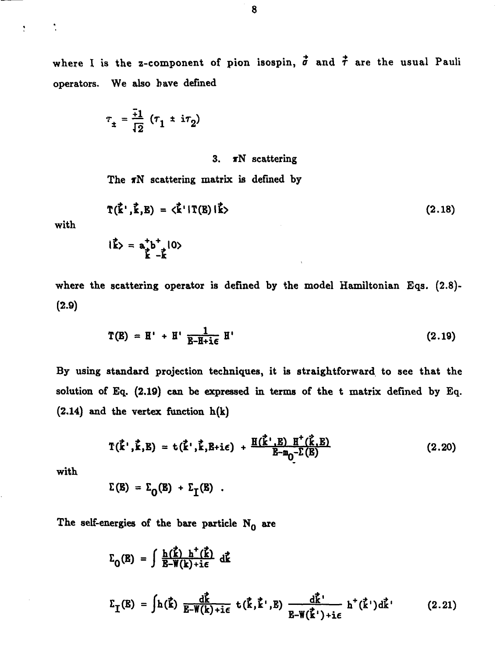where I is the z-component of pion isospin,  $\vec{\sigma}$  and  $\vec{\tau}$  are the usual Pauli **operators. We also have defined**

$$
\tau_{\pm} = \frac{\overline{+1}}{\overline{12}} (\tau_1 \pm i\tau_2)
$$

### **3. rN scattering**

**The rN scattering matrix is defined by**

$$
\mathbf{T}(\vec{k}^{\prime}, \vec{k}, E) = \langle \vec{k}^{\prime} | \mathbf{T}(E) | \vec{k} \rangle
$$
 (2.18)

**with**

 $\frac{\bullet}{\epsilon}$ 

 $\hat{k}$  =  $a^+_{\hat{k}}b^+_{-\hat{k}}|0\rangle$ 

**where the scattering operator is defined by the model Hamiltonian Eqs. (2.8)- (2.9)**

$$
\mathbf{T}(\mathbf{E}) = \mathbf{H}^{\prime} + \mathbf{H}^{\prime} \frac{1}{\mathbf{E} - \mathbf{H} + \mathbf{i}\epsilon} \mathbf{H}^{\prime}
$$
 (2.19)

**By using standard projection techniques, it is straightforward to see that the solution of Eq. (2.19) can be expressed in terms of the t matrix defined by Eq. (2.14) and the vertex function h(k)**

$$
T(\vec{k}', \vec{k}, E) = t(\vec{k}', \vec{k}, E + i\epsilon) + \frac{H(\vec{k}', E) H^+(\vec{k}, E)}{E - m_0 - \Sigma(E)}
$$
(2.20)

**with**

$$
\Sigma(\mathbf{E}) = \Sigma_{\Omega}(\mathbf{E}) + \Sigma_{\Gamma}(\mathbf{E}) .
$$

**The self-energies of the bare particle No are**

A

 $\overline{\phantom{a}}$ 

$$
\Sigma_{0}(\mathbf{E}) = \int \frac{\mathbf{h}(\vec{\mathbf{k}}) \mathbf{h}^{+}(\vec{\mathbf{k}})}{\mathbf{E} - \mathbf{W}(\mathbf{k}) + i\epsilon} d\vec{\mathbf{k}}
$$
\n
$$
\Sigma_{\mathbf{I}}(\mathbf{E}) = \int \mathbf{h}(\vec{\mathbf{k}}) \frac{d\vec{\mathbf{k}}}{\mathbf{E} - \mathbf{W}(\mathbf{k}) + i\epsilon} \mathbf{t}(\vec{\mathbf{k}}, \vec{\mathbf{k}}^{+}, \mathbf{E}) \frac{d\vec{\mathbf{k}}^{+}}{\mathbf{E} - \mathbf{W}(\vec{\mathbf{k}}^{+}) + i\epsilon} \mathbf{h}^{+}(\vec{\mathbf{k}}^{+}) d\vec{\mathbf{k}}^{+} \qquad (2.21)
$$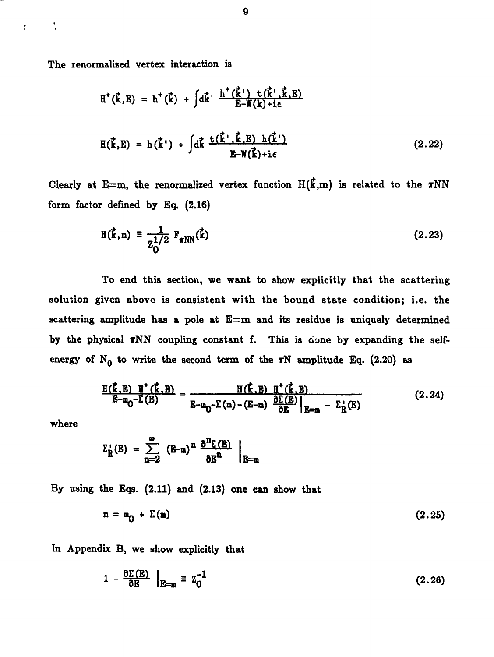**The renormalized vertex interaction is**

$$
H^+(\vec{k},E) = h^+(\vec{k}) + \int d\vec{k} \cdot \frac{h^+(\vec{k}) + f(\vec{k}) \cdot f(\vec{k})}{E-W(k)+i\epsilon}
$$
  

$$
H(\vec{k},E) = h(\vec{k}') + \int d\vec{k} \frac{f(\vec{k}) \cdot f(\vec{k}) - f(\vec{k})}{E-W(\vec{k})+i\epsilon}
$$
(2.22)

Clearly at E=m, the renormalized vertex function  $H(\vec{k},m)$  is related to the  $\pi NN$ **form factor defined by Eq, (2,16)**

$$
H(\vec{k}, m) = \frac{1}{Z_0^{1/2}} F_{\pi NN}(\vec{k})
$$
 (2.23)

**To end this section, we want to show explicitly that the scattering solution given above is consistent with the bound state condition; i.e. the scattering amplitude has a pole at E=m and its residue is uniquely determined** by the physical  $\pi NN$  coupling constant f. This is done by expanding the selfenergy of  $N_0$  to write the second term of the  $T$ N amplitude Eq. (2.20) as

$$
\frac{\mathbf{H}(\vec{k},\mathbf{E}) \ \mathbf{H}^+(\vec{k},\mathbf{E})}{\mathbf{E}-\mathbf{m}_0-\Sigma(\mathbf{E})} = \frac{\mathbf{H}(\vec{k},\mathbf{E}) \ \mathbf{H}^+(\vec{k},\mathbf{E})}{\mathbf{E}-\mathbf{m}_0-\Sigma(\mathbf{m})-(\mathbf{E}-\mathbf{m})} \frac{\partial \Sigma(\mathbf{E})}{\partial \mathbf{E}}\Big|_{\mathbf{E}=\mathbf{m}} - \Sigma_{\mathbf{R}}(\mathbf{E})
$$
(2.24)

**where**

 $\frac{1}{\lambda}$ 

 $\frac{\bullet}{4}$ 

$$
\Sigma_{\mathbf{R}}^{\prime}(\mathbf{E}) = \sum_{n=2}^{\infty} (\mathbf{E}-\mathbf{m})^n \frac{\partial^n \mathbf{\Sigma}(\mathbf{E})}{\partial \mathbf{E}^n} \Big|_{\mathbf{E}=\mathbf{m}}
$$

**By using the Eqs. (2.11) and (2.13) one can show that**

$$
\mathbf{m} = \mathbf{m}_{0} + \Sigma(\mathbf{m}) \tag{2.25}
$$

**In Appendix B, we show explicitly that**

$$
1 - \frac{\partial \Sigma(\mathbf{E})}{\partial \mathbf{E}} \Big|_{\mathbf{E} = \mathbf{m}} \equiv \mathbf{Z}_0^{-1} \tag{2.26}
$$

9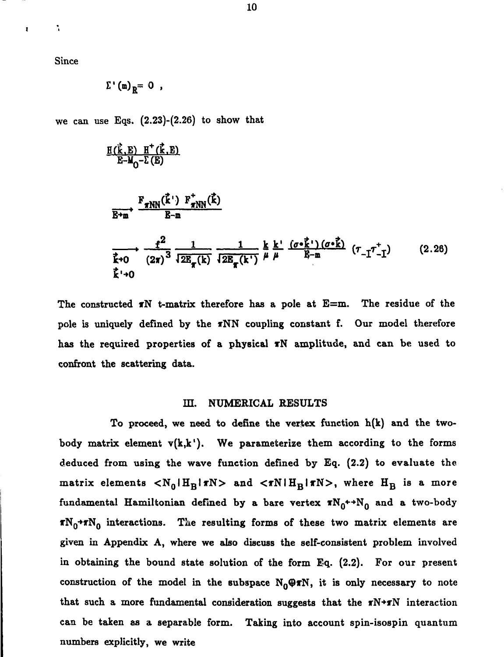**Since**

 $\ddot{\cdot}$ 

 $\mathbf{r}$ 

$$
\Sigma^{\bullet}(\mathfrak{m})_{R} = 0
$$

**we can use Eqs. (2.23)-(2.26) to show that**

$$
\frac{H(\vec{k}, E) H^+(\vec{k}, E)}{E-M_0-\Sigma(E)}
$$
\n
$$
\xrightarrow{F_{\pi NN}(\vec{k} \cdot P_{\pi NN}(\vec{k}))} \frac{F_{\pi NN}(\vec{k})}{E-m}
$$
\n
$$
\xrightarrow{\hat{f}^2 \to 0} \frac{1}{(2\pi)^3} \frac{1}{\Sigma E_{\pi}(k)} \frac{1}{\Sigma E_{\pi}(k')} \frac{k k'}{\Sigma E_{\pi}(k')} \frac{(\sigma \cdot \vec{k})}{\mu} (\tau_{-\Gamma} \tau_{-\Gamma}^+) \qquad (2.28)
$$
\n
$$
\vec{k} \to 0
$$

**The constructed xN t-matrix therefore has a pole at E=m. The residue of the pole is uniquely defined by the xNN coupling constant f. Our model therefore has the required properties of a physical TN amplitude, and can be used to confront the scattering data.**

### **IE. NUMERICAL RESULTS**

**To proceed, we need to define the vertex function h(k) and the twobody matrix element v(k,k'). We parameterize them according to the forms deduced from using the wave function defined by Eq. (2.2) to evaluate the matrix elements**  $\langle N_0 | H_B | \pi N \rangle$  **and**  $\langle \pi N | H_B | \pi N \rangle$ **, where**  $H_B$  **is a more** fundamental Hamiltonian defined by a bare vertex  $\mathbf{xN_0^+} + N_0$  and a two-body **TNQ+TNQ interactions. The resulting forms of these two matrix elements are given in Appendix A, where we also discuss the self-consistent problem involved in obtaining the bound state solution of the form Eq. (2.2). For our present** construction of the model in the subspace  $N_0 \oplus \pi N$ , it is only necessary to note **that such a more fundamental consideration suggests that the TN+JTN interaction can be taken as a separable form. Taking into account spin-isospin quantum numbers explicitly, we write**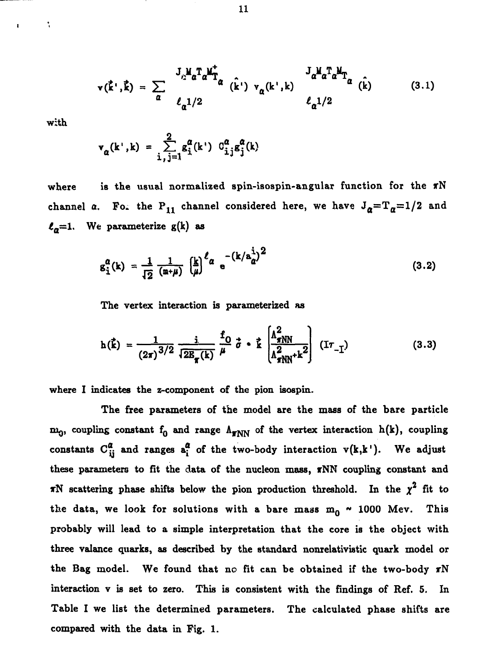$$
\mathbf{v}(\vec{\mathbf{k}}^{\prime},\vec{\mathbf{k}})=\sum_{\alpha}\frac{\mathbf{J}_{\alpha}^{\mathbf{M}}\mathbf{a}^{\mathbf{T}}\mathbf{a}^{\mathbf{M}}\mathbf{\dot{\mathbf{T}}}}{\ell_{\alpha}^{1/2}}(\hat{\mathbf{k}}^{\prime})\mathbf{v}_{\alpha}(\mathbf{k}^{\prime},\mathbf{k})\frac{\mathbf{J}_{\alpha}^{\mathbf{M}}\mathbf{a}^{\mathbf{T}}\mathbf{a}^{\mathbf{M}}\mathbf{\dot{\mathbf{T}}}}{\ell_{\alpha}^{1/2}}(\hat{\mathbf{k}})
$$
(3.1)

**with**

 $\ddot{\cdot}$ 

$$
\mathbf{v}_{\alpha}(\mathbf{k}^{\mathsf{T}}, \mathbf{k}) = \sum_{\mathbf{i}, \mathbf{j} = 1}^{\mathbf{2}} \mathbf{g}_{\mathbf{i}}^{\alpha}(\mathbf{k}^{\mathsf{T}}) \ C_{\mathbf{i}, \mathbf{j}}^{\alpha} \mathbf{g}_{\mathbf{j}}^{\alpha}(\mathbf{k})
$$

where is the usual normalized spin-isospin-angular function for the  $\pi N$ channel  $\alpha$ . For the P<sub>11</sub> channel considered here, we have  $J_{\alpha} = T_{\alpha} = 1/2$  and  $\ell_a=1$ . We parameterize  $g(k)$  as

$$
g_1^{\alpha}(k) = \frac{1}{\sqrt{2}} \frac{1}{(m+\mu)} \left(\frac{k}{\mu}\right)^{\ell_{\alpha}} e^{-\left(k/a_{\alpha}^{\frac{1}{2}}\right)^2}
$$
 (3.2)

**The vertex interaction is parameterized as**

$$
h(\vec{k}) = \frac{1}{(2\pi)^{3/2}} \frac{i}{\sqrt{2E_{\pi}(k)}} \frac{f_0}{\mu} \vec{\sigma} \cdot \vec{k} \left[ \frac{A_{\pi NN}^2}{A_{\pi NN}^2 + k^2} \right] (I\tau_{-1})
$$
(3.3)

**where I indicates the z-component of the pion isospin.**

**The free parameters of the model are the mass of the bare particle**  $m_0$ , coupling constant  $f_0$  and range  $\Lambda_{\text{FNN}}$  of the vertex interaction h(k), coupling constants  $C_{ij}^{\alpha}$  and ranges  $a_i^{\alpha}$  of the two-body interaction  $v(k,k')$ . We adjust **these parameters to fit the data of the nucleon mass, TNN coupling constant and rN** scattering phase shifts below the pion production threshold. In the  $\chi^2$  fit to the data, we look for solutions with a bare mass  $m_0 \sim 1000$  Mev. This **probably will lead to a simple interpretation that the core is the object with three valance quarks, as described by the standard nonrelativistic quark model or the Bag model. We found that no fit can be obtained if the two-body TN interaction v is set to zero. This is consistent with the findings of Ref. 5. In Table I we list the determined parameters. The calculated phase shifts are compared with the data in Fig. 1.**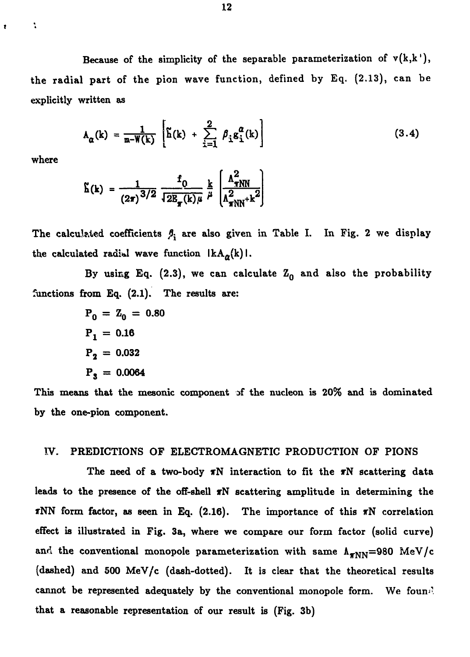Because of the simplicity of the separable parameterization of  $v(k, k')$ , the radial part of the pion wave function, defined by Eq. (2.13), can be explicitly written as

$$
\mathbf{A}_{\alpha}(\mathbf{k}) = \frac{1}{\mathbf{m} - \mathbf{W}(\mathbf{k})} \left[ \tilde{\mathbf{h}}(\mathbf{k}) + \sum_{i=1}^{2} \beta_{i} \mathbf{g}_{i}^{\alpha}(\mathbf{k}) \right]
$$
(3.4)

where

t,

ż

$$
\tilde{h}(k) = \frac{1}{(2\pi)^{3/2}} \frac{f_0}{\sqrt{2E_{\pi}(k)\mu}} \frac{k}{\mu} \left[ \frac{\Lambda_{\pi NN}^2}{\Lambda_{\pi NN}^2 + k^2} \right]
$$

The calculated coefficients  $\beta_i$  are also given in Table I. In Fig. 2 we display the calculated radial wave function  $\lceil kA_{\alpha}(k) \rceil$ .

By using Eq. (2.3), we can calculate  $Z_0$  and also the probability functions from Eq. (2.1). The results are:

$$
P_0 = Z_0 = 0.80
$$
  
\n
$$
P_1 = 0.16
$$
  
\n
$$
P_2 = 0.032
$$
  
\n
$$
P_3 = 0.0064
$$

This means that the mesonic component of the nucleon is 20% and is dominated by the one-pion component.

## IV. PREDICTIONS OF ELECTROMAGNETIC PRODUCTION OF PIONS

The need of a two-body  $\pi N$  interaction to fit the  $\pi N$  scattering data leads to the presence of the off-shell  $\pi N$  scattering amplitude in determining the  $\pi NN$  form factor, as seen in Eq. (2.16). The importance of this  $\pi N$  correlation effect is illustrated in Fig. 3a, where we compare our form factor (solid curve) and the conventional monopole parameterization with same  $\Lambda_{\pi NN}$ =980 MeV/c (dashed) and 500 MeV/c (dash-dotted). It is clear that the theoretical results cannot be represented adequately by the conventional monopole form. We foun. that a reasonable representation of our result is (Fig. 3b)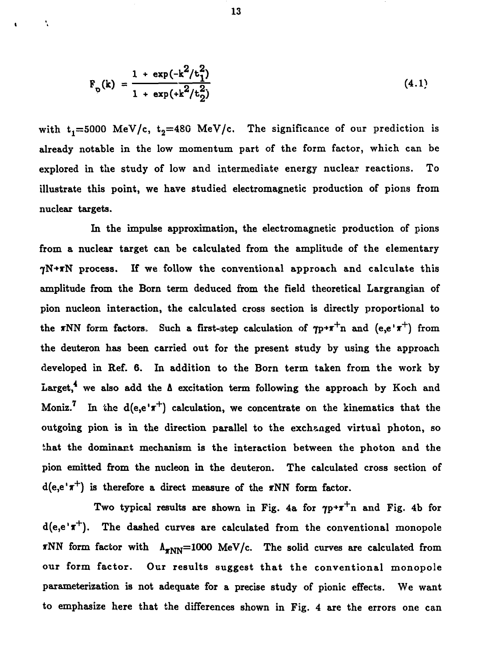$$
F_p(k) = \frac{1 + \exp(-k^2/t_1^2)}{1 + \exp(+k^2/t_2^2)}
$$
(4.1)

with  $t_1=5000$  MeV/c,  $t_2=480$  MeV/c. The significance of our prediction is already notable in the low momentum part of the form factor, which can be explored in the study of low and intermediate energy nuclear reactions. To illustrate this point, we have studied electromagnetic production of pions from nuclear targets.

In the impulse approximation, the electromagnetic production of pions from a nuclear target can be calculated from the amplitude of the elementary  $\gamma$ N+ $\pi$ N process. If we follow the conventional approach and calculate this amplitude from the Born term deduced from the field theoretical Largrangian of pion nucleon interaction, the calculated cross section is directly proportional to the  $\pi NN$  form factors. Such a first-step calculation of  $\eta p + \pi^+ n$  and  $(e,e'+\pi^+)$  from the deuteron has been carried out for the present study by using the approach developed in Ref. 6. In addition to the Born term taken from the work by Larget,<sup>4</sup> we also add the  $\Delta$  excitation term following the approach by Koch and Moniz.<sup>7</sup> In the d(e,e' $\pi$ <sup>+</sup>) calculation, we concentrate on the kinematics that the outgoing pion is in the direction parallel to the exchanged virtual photon, so that the dominant mechanism is the interaction between the photon and the pion emitted from the nucleon in the deuteron. The calculated cross section of  $d(e,e' \pi^+)$  is therefore a direct measure of the  $\pi NN$  form factor.

Two typical results are shown in Fig. 4a for  $\eta p + \pi^+ n$  and Fig. 4b for  $d(e,e' \pi^+)$ . The dashed curves are calculated from the conventional monopole TNN form factor with  $\Lambda_{\pi NN}$ =1000 MeV/c. The solid curves are calculated from our form factor. Our results suggest that the conventional monopole parameterization is not adequate for a precise study of pionic effects. We want to emphasize here that the differences shown in Fig. 4 are the errors one can

N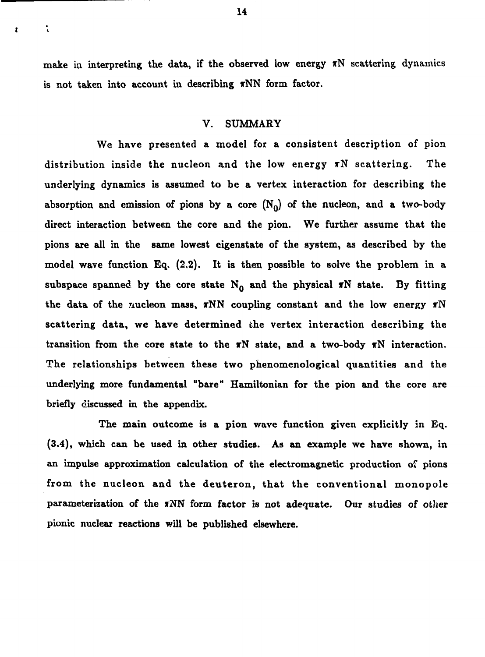make in interpreting the data, if the observed low energy  $\pi N$  scattering dynamics is not taken into account in describing  $\pi NN$  form factor.

### V. SUMMARY

We have presented a model for a consistent description of pion distribution inside the nucleon and the low energy  $\pi N$  scattering. The underlying dynamics is assumed to be a vertex interaction for describing the absorption and emission of pions by a core  $(N_0)$  of the nucleon, and a two-body direct interaction between the core and the pion. We further assume that the pions are all in the same lowest eigenstate of the system, as described by the model wave function Eq. (2.2). It is then possible to solve the problem in a subspace spanned by the core state  $N_0$  and the physical  $\pi N$  state. By fitting the data of the zucleon mass,  $\pi NN$  coupling constant and the low energy  $\pi N$ scattering data, we have determined the vertex interaction describing the transition from the core state to the  $\pi N$  state, and a two-body  $\pi N$  interaction. The relationships between these two phenomenological quantities and the underlying more fundamental "bare" Hamiltonian for the pion and the core are briefly discussed in the appendix.

The main outcome is a pion wave function given explicitly in Eq. (3.4), which can be used in other studies. As an example we have shown, in an impulse approximation calculation of the electromagnetic production of pions from the nucleon and the deuteron, that the conventional monopole parameterization of the  $\pi NN$  form factor is not adequate. Our studies of other pionic nuclear reactions will be published elsewhere.

Ä.

t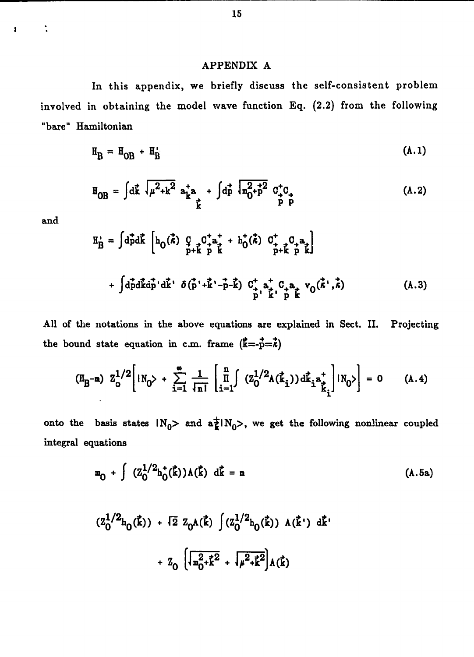### APPENDIX A

In this appendix, we briefly discuss the self-consistent problem involved in obtaining the model wave function Eq. (2.2) from the following "bare" Hamiltonian

$$
\mathbf{H}_{\mathbf{B}} = \mathbf{H}_{\mathbf{OB}} + \mathbf{H}_{\mathbf{B}}' \tag{A.1}
$$

$$
H_{OB} = \int d\vec{k} \sqrt{\mu^2 + k^2} a_{\vec{k}}^{\dagger} a + \int d\vec{p} \sqrt{m_0^2 + p^2} C_{\vec{p}}^{\dagger} C_{\vec{p}} \qquad (A.2)
$$

and

 $\ddot{\phantom{a}}$ 

 $\pmb{\cdot}$ 

**^ = Jdpd£ [hQ(«) § c V + hj(\*) C\* C+a 1** L p+k p k p+k p kj **+ Jdpdk'dp'dk'<sup>1</sup> fiCp'+J'-p-^) 0\*aj0 <sup>+</sup> a vo(«',/c) (A.3)**

All of the notations in the above equations are explained in Sect. II. Projecting the bound state equation in c.m. frame  $(\vec{k} = -\vec{p} = \vec{k})$ 

$$
(\mathbb{H}_{B} - m) \ \mathbb{Z}_{0}^{1/2} \Bigg[ |N_{0}\rangle + \sum_{i=1}^{m} \frac{1}{\sqrt{n!}} \left[ \prod_{i=1}^{n} ( \mathbb{Z}_{0}^{1/2} \mathbb{A}(\vec{k}_{i})) d\vec{k}_{i}^{*} \right] |N_{0}\rangle \Bigg] = 0 \qquad (A.4)
$$

onto the basis states  $\mathsf{IN}_0$ > and  $\mathsf{a}^{\pm}_k \mathsf{IN}_0$ >, we get the following nonlinear coupled integral equations

$$
m_{0} + \int (Z_{0}^{1/2} h_{0}^{+}(\vec{k})) \Lambda(\vec{k}) d\vec{k} = m
$$
 (A.5a)

$$
(z_0^{1/2}h_0(\vec{k})) + \sqrt{2} z_0 A(\vec{k}) \int (z_0^{1/2}h_0(\vec{k})) A(\vec{k}') d\vec{k}'
$$

$$
+ z_0 \left[ \sqrt{\frac{2}{m_0^2 + \vec{k}^2}} + \sqrt{\mu^2 + \vec{k}^2} \right] A(\vec{k})
$$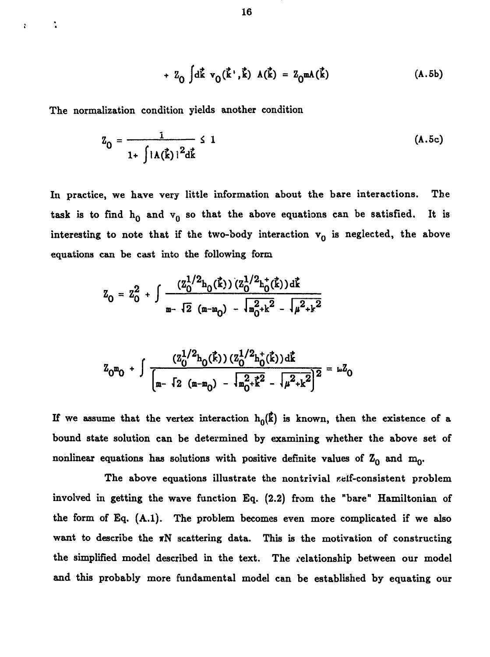+ 
$$
Z_0
$$
  $\int d\vec{k} v_0(\vec{k}', \vec{k}) A(\vec{k}) = Z_0 m A(\vec{k})$  (A.5b)

The normalization condition yields another condition

t

 $\ddot{\phantom{a}}$ 

$$
Z_0 = \frac{1}{1 + \int |A(\vec{k})|^2 d\vec{k}} \le 1
$$
 (A.5c)

In practice, we have very little information about the bare interactions. The task is to find  $h_0$  and  $v_0$  so that the above equations can be satisfied. It is interesting to note that if the two-body interaction  $v_0$  is neglected, the above equations can be cast into the following form

$$
Z_0 = Z_0^2 + \int \frac{(Z_0^{1/2} h_0(\vec{k})) (Z_0^{1/2} h_0^+(\vec{k})) d\vec{k}}{\sin \sqrt{2} (m - m_0) - \sqrt{m_0^2 + k^2} - \sqrt{\mu^2 + k^2}}
$$

$$
Z_0 m_0 + \int \frac{(z_0^{1/2} h_0(\vec{k})) (z_0^{1/2} h_0^+(\vec{k})) d\vec{k}}{\left[m - \int_2 (m - m_0) - \sqrt{m_0^2 + \vec{k}^2} - \sqrt{\mu^2 + \vec{k}^2}\right]^2} = mZ_0
$$

If we assume that the vertex interaction  $h_0(\vec{k})$  is known, then the existence of a bound state solution can be determined by examining whether the above set of nonlinear equations has solutions with positive definite values of  $Z_0$  and  $m_0$ .

The above equations illustrate the nontrivial self-consistent problem involved in getting the wave function Eq. (2.2) from the "bare" Hamiltonian of the form of Eq. (A.l). The problem becomes even more complicated if we also want to describe the  $T\text{N}$  scattering data. This is the motivation of constructing the simplified model described in the text. The relationship between our model and this probably more fundamental model can be established by equating our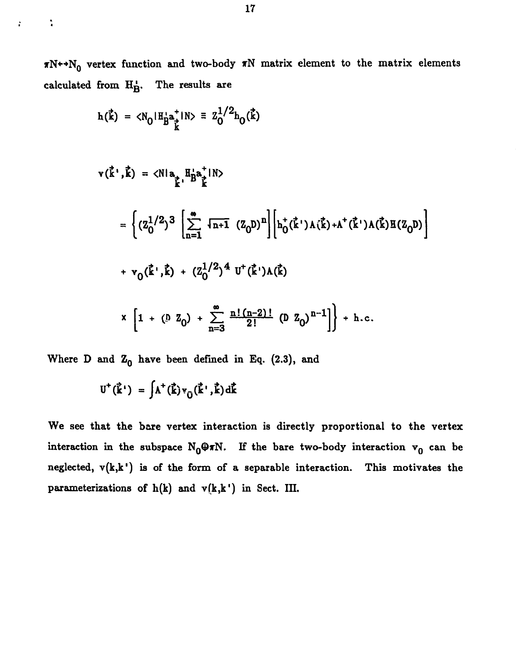$\pi N^{++}N_0$  vertex function and two-body  $\pi N$  matrix element to the matrix elements calculated from  $H_B'$ . The results are

$$
h(\vec{k}) = \langle N_0 | H_B^{\dagger} \hat{a}^{\dagger}_{\vec{k}} | N \rangle \equiv Z_0^{1/2} h_0(\vec{k})
$$

 $\ddot{\cdot}$ 

 $\mathbf{r}$ 

$$
v(\vec{k}^{\prime}, \vec{k}) = \langle N | a_{\vec{k}}^{\dagger} \cdot \vec{B}_{\vec{k}}^{a_{\vec{k}}} | N \rangle
$$
  
\n
$$
= \left\{ (Z_0^{1/2})^3 \left[ \sum_{n=1}^{\infty} \sqrt{n+1} (Z_0 D)^n \right] \left[ h_0^+(\vec{k}^{\prime}) A(\vec{k}) + A^+(\vec{k}^{\prime}) A(\vec{k}) H(Z_0 D) \right] \right\}
$$
  
\n
$$
+ v_0(\vec{k}^{\prime}, \vec{k}) + (Z_0^{1/2})^4 U^+(\vec{k}^{\prime}) A(\vec{k})
$$
  
\n
$$
x \left[ 1 + (0 Z_0) + \sum_{n=3}^{\infty} \frac{n! (n-2)!}{2!} (D Z_0)^{n-1} \right] + h.c.
$$

Where D and  $Z_0$  have been defined in Eq. (2.3), and

$$
U^+(\vec{k}^{\prime}) = \int \!\!\Lambda^+(\vec{k}) v_{\hat{U}}(\vec{k}^{\prime},\vec{k}) d\vec{k}
$$

We see that the bare vertex interaction is directly proportional to the vertex interaction in the subspace  $N_0\oplus\pi N$ . If the bare two-body interaction  $v_0$  can be neglected,  $v(k,k')$  is of the form of a separable interaction. This motivates the parameterizations of  $h(k)$  and  $v(k, k')$  in Sect. III.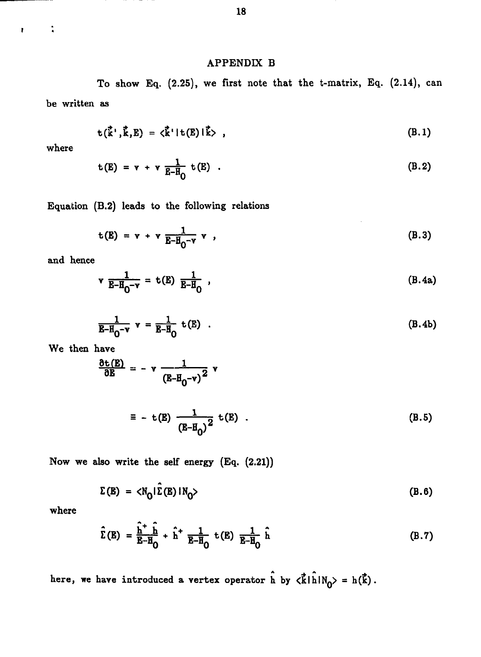# APPENDIX B

To show Eq. (2.25), we first note that the t-matrix, Eq. (2.14), can be written as

$$
t(\vec{k}', \vec{k}, E) = \langle \vec{k}' | t(E) | \vec{k} \rangle , \qquad (B.1)
$$

where

 $\ddot{\cdot}$ 

 $\mathbf{r}$ 

$$
t(E) = v + v \frac{1}{E - H_0} t(E) . \qquad (B.2)
$$

Equation (B.2) leads to the following relations

$$
t(E) = v + v \frac{1}{E - H_0 - v} v , \qquad (B.3)
$$

and hence

$$
v \frac{1}{E - H_0 - v} = t(E) \frac{1}{E - H_0} \tag{B.4a}
$$

$$
\frac{1}{\mathbf{E}-\mathbf{H}_0-\mathbf{v}} \mathbf{v} = \frac{1}{\mathbf{E}-\mathbf{H}_0} \mathbf{t}(\mathbf{E}) \quad . \tag{B.4b}
$$

We then have

$$
\frac{\partial \mathbf{t}(\mathbf{E})}{\partial \mathbf{E}} = -\mathbf{v} \frac{1}{(\mathbf{E} - \mathbf{H}_0 - \mathbf{v})^2} \mathbf{v}
$$

$$
\equiv - t(E) \frac{1}{(E - H_0)^2} t(E) . \tag{B.5}
$$

Now we also write the self energy (Eq. (2.21))

$$
\Sigma(E) = \langle N_0 | \hat{\Sigma}(E) | N_0 \rangle
$$
 (B.6)

where

$$
\hat{\Sigma}(E) = \frac{\hat{h}^+ \cdot \hat{h}}{E - H_0} + \hat{h}^+ \frac{1}{E - H_0} t(E) \frac{1}{E - H_0} \hat{h}
$$
 (B.7)

here, we have introduced a vertex operator  $\hat{h}$  by  $\langle \vec{k} | \hat{h} | N_0 \rangle = h(\vec{k})$ .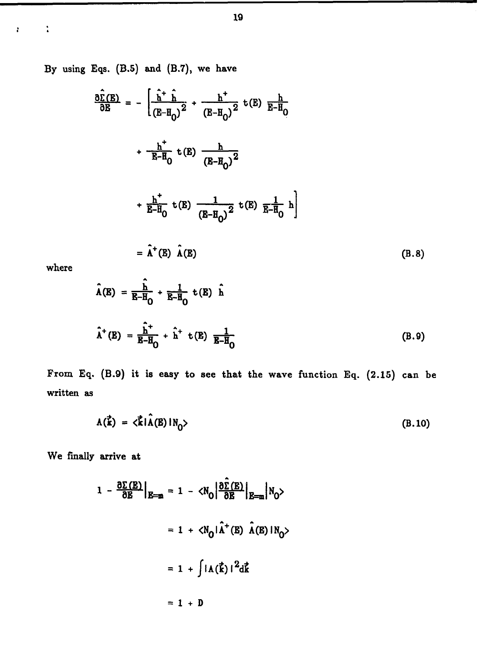**By using Eqs. (B.5) and (B.7), we have**

$$
\frac{\partial \hat{\Sigma}(E)}{\partial E} = -\left[\frac{\hat{h}^+ \hat{h}}{(E - H_0)^2} + \frac{h^+}{(E - H_0)^2} t(E) \frac{h}{E - H_0}\right] + \frac{h^+}{E - H_0} t(E) \frac{h}{(E - H_0)^2} + \frac{h^+}{E - H_0} t(E) \frac{1}{(E - H_0)^2} t(E) \frac{1}{E - H_0} h\right]
$$

$$
= \hat{h}^+(E) \hat{h}(E) \qquad (B.8)
$$

**where**

 $\ddot{\bullet}$ 

 $\mathbf{r}$ 

$$
\hat{\Lambda}(E) = \frac{\hat{h}}{E - H_0} + \frac{1}{E - H_0} t(E) \hat{h}
$$
\n
$$
\hat{\Lambda}^+(E) = \frac{\hat{h}^+}{E - H_0} + \hat{h}^+ t(E) \frac{1}{E - H_0}
$$
\n(B.9)

**From Eq. (B.9) it is easy to see that the wave function Eq. (2.15) can be written as**

$$
A(\vec{k}) = \langle \vec{k} | \hat{A}(E) | N_0 \rangle
$$
 (B.10)

**We finally arrive at**

$$
1 - \frac{\partial \Sigma(E)}{\partial E}\Big|_{E=m} = 1 - \langle N_0 \Big| \frac{\partial \hat{\Sigma}(E)}{\partial E}\Big|_{E=m} |N_0\rangle
$$

$$
= 1 + \langle N_0 \vert \hat{\Lambda}^+(E) \hat{\Lambda}(E) |N_0\rangle
$$

$$
= 1 + \int |A(\vec{k})|^2 d\vec{k}
$$

$$
= 1 + D
$$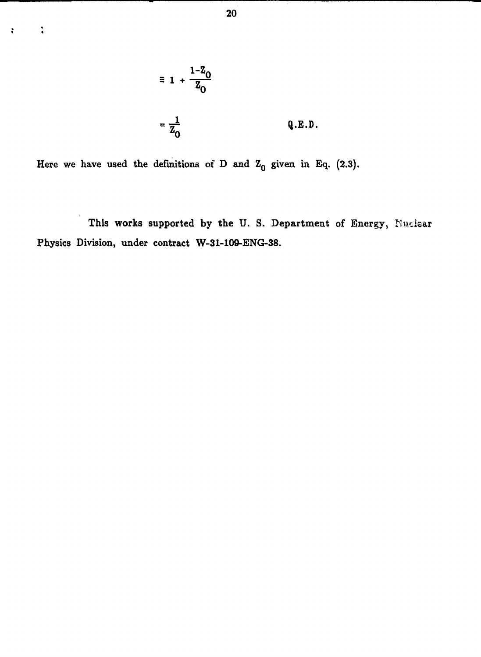

Here we have used the definitions of D and  $Z_0$  given in Eq. (2.3).

*<sup>n</sup>* **«**

This works supported by **the** U. S. Department of Energy, Nuclear Physics Division, under **contract W-31-109-ENG-38.**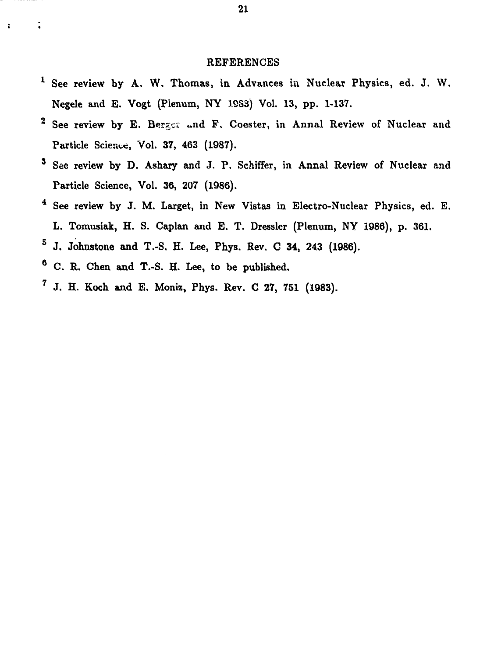### REFERENCES

- <sup>1</sup> See review by A. W. Thomas, in Advances in Nuclear Physics, ed. J. W. Negele and E. Vogt (Plenum, NY 1983) Vol. 13, pp. 1-137.
- <sup>2</sup> See review by E. Berger and F. Coester, in Annal Review of Nuclear and Particle Science, Vol. 37, 463 (1987).
- <sup>3</sup> See review by D. Ashary and J. P. Schiffer, in Annal Review of Nuclear and Particle Science, Vol. 36, 207 (1986).
- See review by J. M. Larget, in New Vistas in Electro-Nuclear Physics, ed. E. L. Tomusiak, H. S. Caplan and E. T. Dressier (Plenum, NY 1986), p. 361.
- $^5$  J. Johnstone and T.-S. H. Lee, Phys. Rev. C 34, 243 (1986).
- <sup>6</sup> C. R. Chen and T.-S. H. Lee, to be published.

÷

 $^7$  J. H. Koch and E. Moniz, Phys. Rev. C 27, 751 (1983).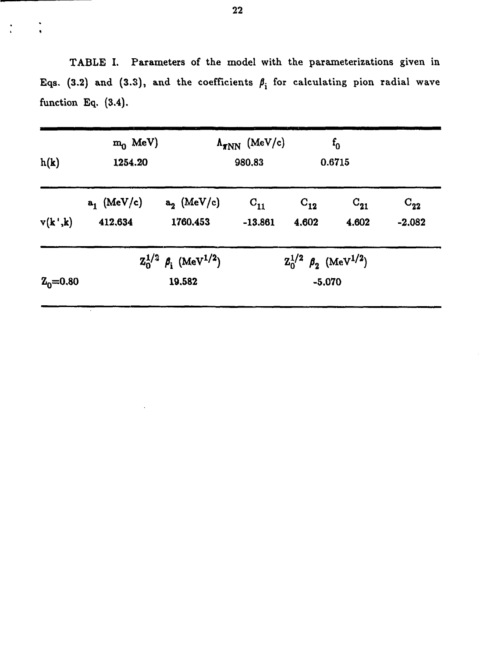TABLE I. Parameters of the model with the parameterizations given in Eqs. (3.2) and (3.3), and the coefficients  $\beta_i$  for calculating pion radial wave function Eq. (3.4).

| h(k)<br>v(k',k) | $m_0$ MeV)<br>1254.20                                                                                            |                           | $\Lambda_{\pi NN}$ (MeV/c)<br>980,83 | $f_0$<br>0.6715   |                   |                      |
|-----------------|------------------------------------------------------------------------------------------------------------------|---------------------------|--------------------------------------|-------------------|-------------------|----------------------|
|                 | $a_1$ (MeV/c)<br>412,634                                                                                         | $a_2$ (MeV/c)<br>1760.453 | $C_{11}$<br>$-13.861$                | $C_{12}$<br>4,602 | $C_{21}$<br>4.602 | $C_{22}$<br>$-2.082$ |
| $Z_0 = 0.80$    | $Z_0^{1/2}$ $\beta_i$ (MeV <sup>1/2</sup> )<br>$Z_0^{1/2}$ $\beta_2$ (MeV <sup>1/2</sup> )<br>19.582<br>$-5.070$ |                           |                                      |                   |                   |                      |

 $\ddot{\cdot}$ 

 $\ddot{\cdot}$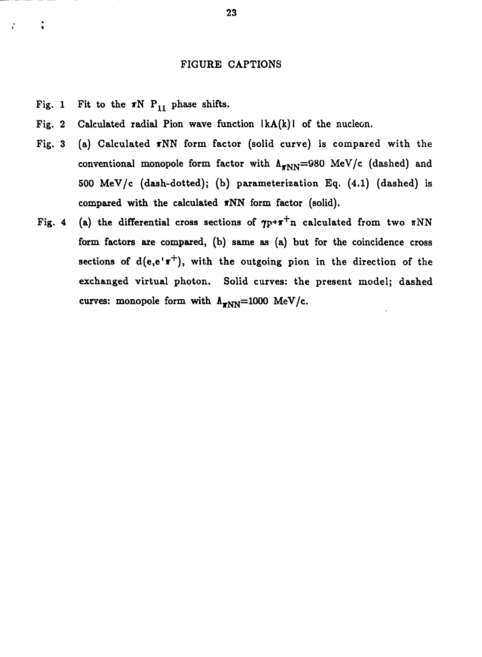## FIGURE CAPTIONS

Fig. 1 Fit to the  $\pi N$  P<sub>11</sub> phase shifts.

 $\ddot{\cdot}$ 

- Fig. 2 Calculated radial Pion wave function  $|kA(k)|$  of the nucleon.
- Fig. 3 (a) Calculated  $\pi NN$  form factor (solid curve) is compared with the conventional monopole form factor with  $\Lambda_{\pi NN}$ =980 MeV/c (dashed) and 500 MeV/c (dash-dotted); (b) parameterization Eq. (4.1) (dashed) is compared with the calculated  $\pi NN$  form factor (solid).
- Fig. 4 (a) the differential cross sections of  $\gamma_{F^*}\pi^+$ n calculated from two  $\pi NN$ form factors are compared, (b) same as (a) but for the coincidence cross sections of  $d(e,e^{+}\pi^{+})$ , with the outgoing pion in the direction of the exchanged virtual photon. Solid curves: the present model; dashed curves: monopole form with  $\Lambda_{TNN}=1000$  MeV/c.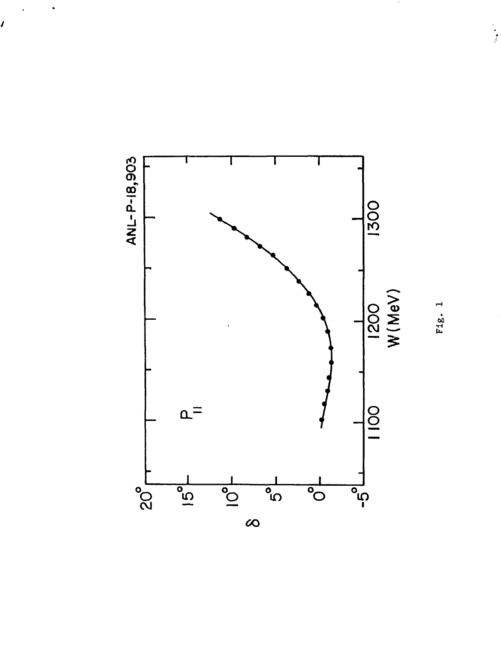

 $\ddot{\phantom{1}}$ 

I

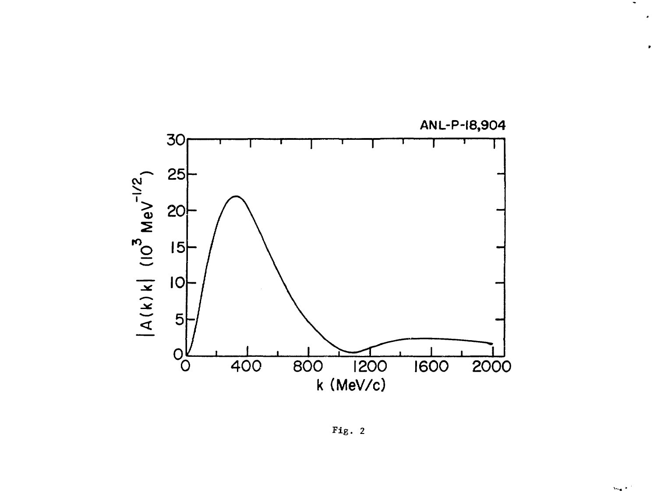

Fig. 2

 $\bullet$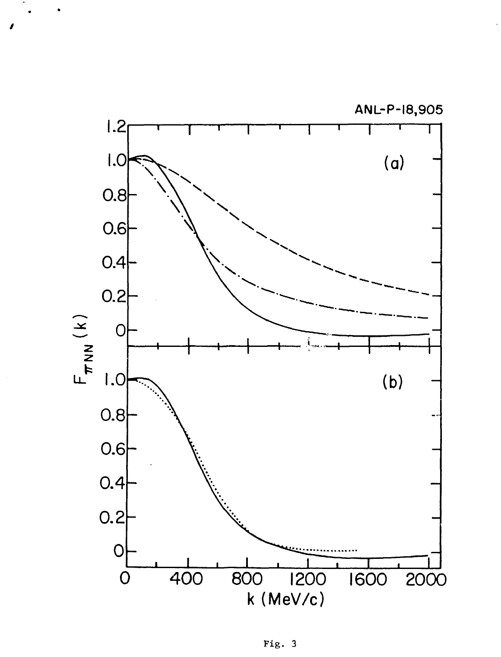

Fig. 3